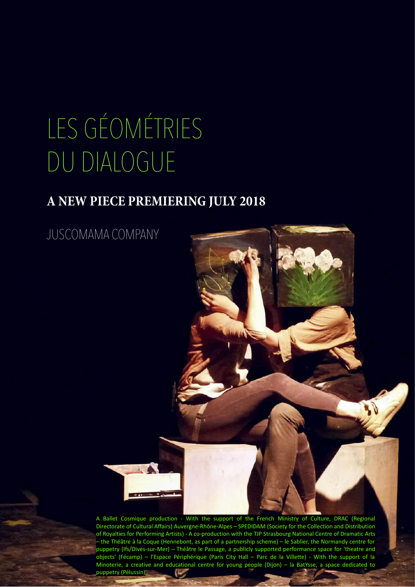# LES GÉOMÉTRIES DU DIALOGUE

### **A NEW PIECE PREMIERING JULY 2018**

JUSCOMAMA COMPANY

A Ballet Cosmique production - With the support of the French Ministry of Culture, DRAC (Regional Directorate of Cultural Affairs) Auvergne-Rhône-Alpes – SPEDIDAM (Society for the Collection and Distribution of Royalties for Performing Artists) - A co-production with the TJP Strasbourg National Centre of Dramatic Arts – the Théâtre à la Coque (Hennebont, as part of a partnership scheme) – le Sablier, the Normandy centre for puppetry (Ifs/Dives-sur-Mer) – Théâtre le Passage, a publicly supported performance space for 'theatre and objects' (Fécamp) – l'Espace Périphérique (Paris City Hall – Parc de la Villette) - With the support of la Minoterie, a creative and educational centre for young people (Dijon) – la BatYsse, a space dedicated to puppetry (Pélussin)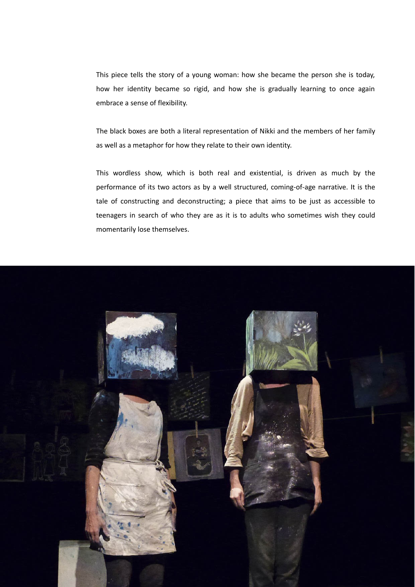This piece tells the story of a young woman: how she became the person she is today, how her identity became so rigid, and how she is gradually learning to once again embrace a sense of flexibility.

The black boxes are both a literal representation of Nikki and the members of her family as well as a metaphor for how they relate to their own identity.

This wordless show, which is both real and existential, is driven as much by the performance of its two actors as by a well structured, coming-of-age narrative. It is the tale of constructing and deconstructing; a piece that aims to be just as accessible to teenagers in search of who they are as it is to adults who sometimes wish they could momentarily lose themselves.

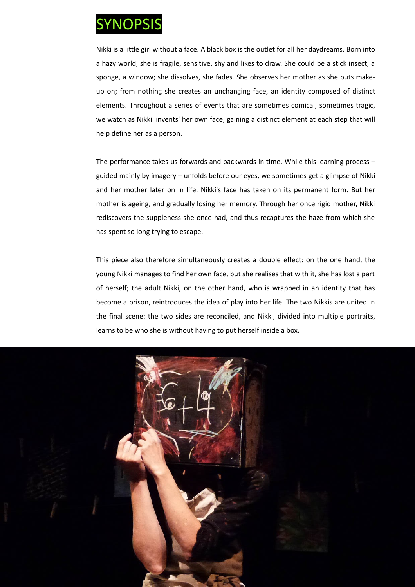

Nikki is a little girl without a face. A black box is the outlet for all her daydreams. Born into a hazy world, she is fragile, sensitive, shy and likes to draw. She could be a stick insect, a sponge, a window; she dissolves, she fades. She observes her mother as she puts makeup on; from nothing she creates an unchanging face, an identity composed of distinct elements. Throughout a series of events that are sometimes comical, sometimes tragic, we watch as Nikki 'invents' her own face, gaining a distinct element at each step that will help define her as a person.

The performance takes us forwards and backwards in time. While this learning process – guided mainly by imagery – unfolds before our eyes, we sometimes get a glimpse of Nikki and her mother later on in life. Nikki's face has taken on its permanent form. But her mother is ageing, and gradually losing her memory. Through her once rigid mother, Nikki rediscovers the suppleness she once had, and thus recaptures the haze from which she has spent so long trying to escape.

This piece also therefore simultaneously creates a double effect: on the one hand, the young Nikki manages to find her own face, but she realises that with it, she has lost a part of herself; the adult Nikki, on the other hand, who is wrapped in an identity that has become a prison, reintroduces the idea of play into her life. The two Nikkis are united in the final scene: the two sides are reconciled, and Nikki, divided into multiple portraits, learns to be who she is without having to put herself inside a box.

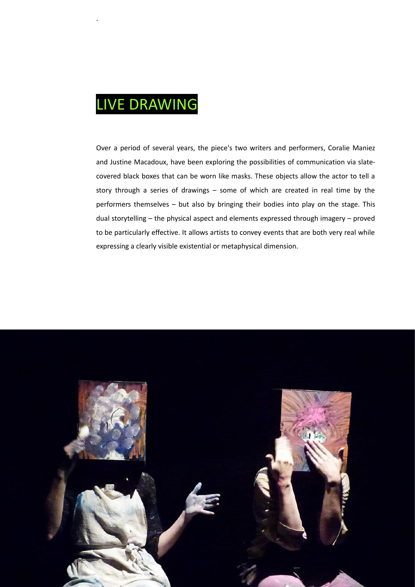### LIVE DRAWING

.

Over a period of several years, the piece's two writers and performers, Coralie Maniez and Justine Macadoux, have been exploring the possibilities of communication via slatecovered black boxes that can be worn like masks. These objects allow the actor to tell a story through a series of drawings – some of which are created in real time by the performers themselves – but also by bringing their bodies into play on the stage. This dual storytelling – the physical aspect and elements expressed through imagery – proved to be particularly effective. It allows artists to convey events that are both very real while expressing a clearly visible existential or metaphysical dimension.

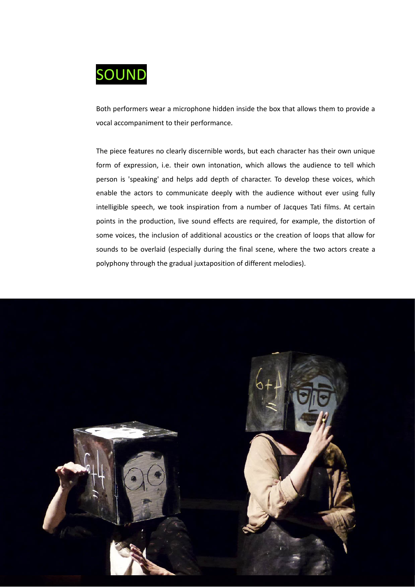

Both performers wear a microphone hidden inside the box that allows them to provide a vocal accompaniment to their performance.

The piece features no clearly discernible words, but each character has their own unique form of expression, i.e. their own intonation, which allows the audience to tell which person is 'speaking' and helps add depth of character. To develop these voices, which enable the actors to communicate deeply with the audience without ever using fully intelligible speech, we took inspiration from a number of Jacques Tati films. At certain points in the production, live sound effects are required, for example, the distortion of some voices, the inclusion of additional acoustics or the creation of loops that allow for sounds to be overlaid (especially during the final scene, where the two actors create a polyphony through the gradual juxtaposition of different melodies).

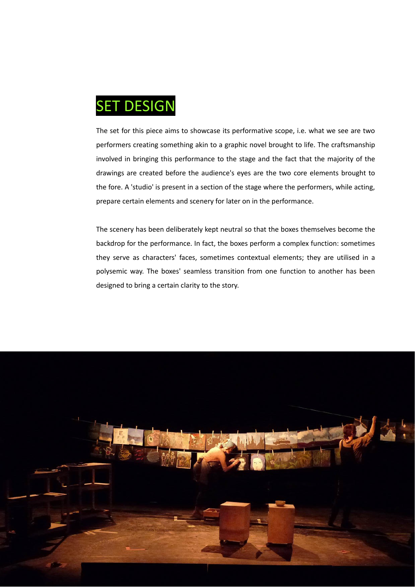

The set for this piece aims to showcase its performative scope, i.e. what we see are two performers creating something akin to a graphic novel brought to life. The craftsmanship involved in bringing this performance to the stage and the fact that the majority of the drawings are created before the audience's eyes are the two core elements brought to the fore. A 'studio' is present in a section of the stage where the performers, while acting, prepare certain elements and scenery for later on in the performance.

The scenery has been deliberately kept neutral so that the boxes themselves become the backdrop for the performance. In fact, the boxes perform a complex function: sometimes they serve as characters' faces, sometimes contextual elements; they are utilised in a polysemic way. The boxes' seamless transition from one function to another has been designed to bring a certain clarity to the story.

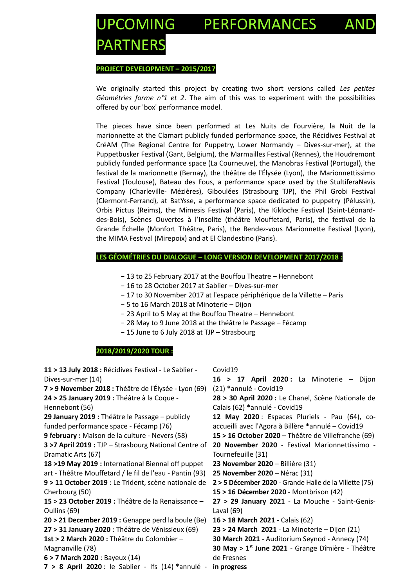# COMING PERFORMANCES PARTNERS

#### **PROJECT DEVELOPMENT – 2015/2017**

We originally started this project by creating two short versions called *Les petites Géométries forme n°1 et 2*. The aim of this was to experiment with the possibilities offered by our 'box' performance model.

The pieces have since been performed at Les Nuits de Fourvière, la Nuit de la marionnette at the Clamart publicly funded performance space, the Récidives Festival at CréAM (The Regional Centre for Puppetry, Lower Normandy – Dives-sur-mer), at the Puppetbusker Festival (Gant, Belgium), the Marmailles Festival (Rennes), the Houdremont publicly funded performance space (La Courneuve), the Manobras Festival (Portugal), the festival de la marionnette (Bernay), the théâtre de l'Élysée (Lyon), the Marionnettissimo Festival (Toulouse), Bateau des Fous, a performance space used by the StultiferaNavis Company (Charleville- Mézières), Giboulées (Strasbourg TJP), the Phil Grobi Festival (Clermont-Ferrand), at BatYsse, a performance space dedicated to puppetry (Pélussin), Orbis Pictus (Reims), the Mimesis Festival (Paris), the Kikloche Festival (Saint-Léonarddes-Bois), Scènes Ouvertes à l'Insolite (théâtre Mouffetard, Paris), the festival de la Grande Échelle (Monfort Théâtre, Paris), the Rendez-vous Marionnette Festival (Lyon), the MIMA Festival (Mirepoix) and at El Clandestino (Paris).

#### **LES GÉOMÉTRIES DU DIALOGUE – LONG VERSION DEVELOPMENT 2017/2018 :**

- − 13 to 25 February 2017 at the Bouffou Theatre Hennebont
- − 16 to 28 October 2017 at Sablier Dives-sur-mer
- − 17 to 30 November 2017 at l'espace périphérique de la Villette Paris
- − 5 to 16 March 2018 at Minoterie Dijon
- − 23 April to 5 May at the Bouffou Theatre Hennebont
- − 28 May to 9 June 2018 at the théâtre le Passage Fécamp
- − 15 June to 6 July 2018 at TJP Strasbourg

#### **2018/2019/2020 TOUR :**

| 11 > 13 July 2018 : Récidives Festival - Le Sablier -    | Covid19                                                |  |
|----------------------------------------------------------|--------------------------------------------------------|--|
| Dives-sur-mer (14)                                       | 16 > 17 April 2020: La Minoterie - Dijon               |  |
| 7 > 9 November 2018 : Théâtre de l'Élysée - Lyon (69)    | (21) *annulé - Covid19                                 |  |
| 24 > 25 January 2019 : Théâtre à la Coque -              | 28 > 30 April 2020 : Le Chanel, Scène Nationale de     |  |
| Hennebont (56)                                           | Calais (62) *annulé - Covid19                          |  |
| 29 January 2019 : Théâtre le Passage - publicly          | 12 May 2020: Espaces Pluriels - Pau (64), co-          |  |
| funded performance space - Fécamp (76)                   | accueilli avec l'Agora à Billère *annulé - Covid19     |  |
| 9 february: Maison de la culture - Nevers (58)           | 15 > 16 October 2020 – Théâtre de Villefranche (69)    |  |
| 3 >7 April 2019 : TJP - Strasbourg National Centre of    | 20 November 2020 - Festival Marionnettissimo -         |  |
| Dramatic Arts (67)                                       | Tournefeuille (31)                                     |  |
| 18 > 19 May 2019 : International Biennal off puppet      | 23 November 2020 - Billière (31)                       |  |
| art - Théâtre Mouffetard / le fil de l'eau - Pantin (93) | 25 November 2020 - Nérac (31)                          |  |
| 9 > 11 October 2019 : Le Trident, scène nationale de     | 2 > 5 Décember 2020 - Grande Halle de la Villette (75) |  |
| Cherbourg (50)                                           | 15 > 16 Décember 2020 - Montbrison (42)                |  |
| 15 > 23 October 2019 : Théâtre de la Renaissance -       | 27 > 29 January 2021 - La Mouche - Saint-Genis-        |  |
| Oullins (69)                                             | Laval $(69)$                                           |  |
| 20 > 21 December 2019 : Genappe perd la boule (Be)       | 16 > 18 March 2021 - Calais (62)                       |  |
| 27 > 31 January 2020 : Théâtre de Vénissieux (69)        | 23 > 24 March 2021 - La Minoterie - Dijon (21)         |  |
| 1st > 2 March 2020 : Théâtre du Colombier -              | 30 March 2021 - Auditorium Seynod - Annecy (74)        |  |
| Magnanville (78)                                         | 30 May > $1st$ June 2021 - Grange Dîmière - Théâtre    |  |
| 6 > 7 March 2020 : Bayeux $(14)$                         | de Fresnes                                             |  |
| 7 > 8 April 2020 : le Sablier - Ifs $(14)$ *annulé -     | in progress                                            |  |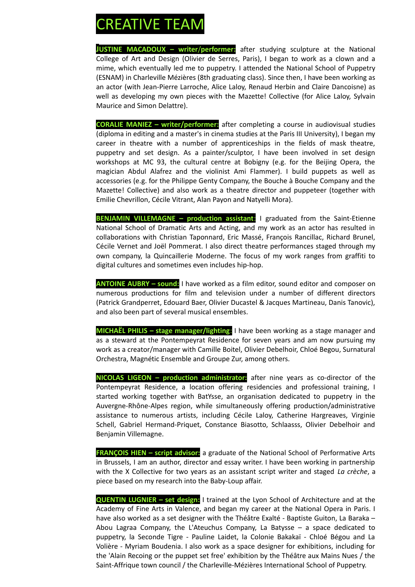### **REATIVE TEAM**

**JUSTINE MACADOUX – writer**/**performer:** after studying sculpture at the National College of Art and Design (Olivier de Serres, Paris), I began to work as a clown and a mime, which eventually led me to puppetry. I attended the National School of Puppetry (ESNAM) in Charleville Mézières (8th graduating class). Since then, I have been working as an actor (with Jean-Pierre Larroche, Alice Laloy, Renaud Herbin and Claire Dancoisne) as well as developing my own pieces with the Mazette! Collective (for Alice Laloy, Sylvain Maurice and Simon Delattre).

**CORALIE MANIEZ – writer/performer:** after completing a course in audiovisual studies (diploma in editing and a master's in cinema studies at the Paris III University), I began my career in theatre with a number of apprenticeships in the fields of mask theatre, puppetry and set design. As a painter/sculptor, I have been involved in set design workshops at MC 93, the cultural centre at Bobigny (e.g. for the Beijing Opera, the magician Abdul Alafrez and the violinist Ami Flammer). I build puppets as well as accessories (e.g. for the Philippe Genty Company, the Bouche à Bouche Company and the Mazette! Collective) and also work as a theatre director and puppeteer (together with Emilie Chevrillon, Cécile Vitrant, Alan Payon and Natyelli Mora).

**BENJAMIN VILLEMAGNE - production assistant: I graduated from the Saint-Etienne** National School of Dramatic Arts and Acting, and my work as an actor has resulted in collaborations with Christian Taponnard, Eric Massé, François Rancillac, Richard Brunel, Cécile Vernet and Joël Pommerat. I also direct theatre performances staged through my own company, la Quincaillerie Moderne. The focus of my work ranges from graffiti to digital cultures and sometimes even includes hip-hop.

**ANTOINE AUBRY – sound:** I have worked as a film editor, sound editor and composer on numerous productions for film and television under a number of different directors (Patrick Grandperret, Edouard Baer, Olivier Ducastel & Jacques Martineau, Danis Tanovic), and also been part of several musical ensembles.

**MICHAËL PHILIS – stage manager/lighting**: I have been working as a stage manager and as a steward at the Pontempeyrat Residence for seven years and am now pursuing my work as a creator/manager with Camille Boitel, Olivier Debelhoir, Chloé Begou, Surnatural Orchestra, Magnétic Ensemble and Groupe Zur, among others.

**NICOLAS LIGEON – production administrator:** after nine years as co-director of the Pontempeyrat Residence, a location offering residencies and professional training, I started working together with BatYsse, an organisation dedicated to puppetry in the Auvergne-Rhône-Alpes region, while simultaneously offering production/administrative assistance to numerous artists, including Cécile Laloy, Catherine Hargreaves, Virginie Schell, Gabriel Hermand-Priquet, Constance Biasotto, Schlaasss, Olivier Debelhoir and Benjamin Villemagne.

**FRANÇOIS HIEN - script advisor:** a graduate of the National School of Performative Arts in Brussels, I am an author, director and essay writer. I have been working in partnership with the X Collective for two years as an assistant script writer and staged *La crèche*, a piece based on my research into the Baby-Loup affair.

**QUENTIN LUGNIER – set design:** I trained at the Lyon School of Architecture and at the Academy of Fine Arts in Valence, and began my career at the National Opera in Paris. I have also worked as a set designer with the Théâtre Exalté - Baptiste Guiton, La Baraka – Abou Lagraa Company, the L'Ateuchus Company, La Batysse – a space dedicated to puppetry, la Seconde Tigre - Pauline Laidet, la Colonie Bakakaï - Chloé Bégou and La Volière - Myriam Boudenia. I also work as a space designer for exhibitions, including for the 'Alain Recoing or the puppet set free' exhibition by the Théâtre aux Mains Nues / the Saint-Affrique town council / the Charleville-Mézières International School of Puppetry.